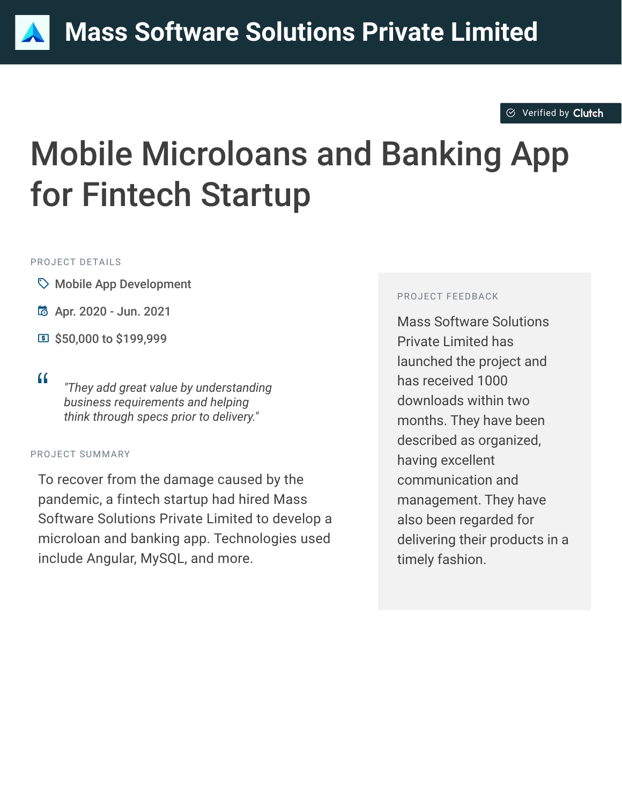### $\odot$  [Verified by](https://clutch.co?utm_source=case_studies&utm_medium=verified_by_clutch) Clutch

# Mobile Microloans and Banking App for Fintech Startup

#### PROJECT DETAILS

- $\heartsuit$  Mobile App Development
- B Apr. 2020 Jun. 2021
- **国 \$50,000 to \$199,999**
- 

<sup>D</sup> *"They add great value by understanding business requirements and helping think through specs prior to delivery."*

#### PROJECT SUMMARY

To recover from the damage caused by the pandemic, a fintech startup had hired Mass Software Solutions Private Limited to develop a microloan and banking app. Technologies used include Angular, MySQL, and more.

#### PROJECT FEEDBACK

Mass Software Solutions Private Limited has launched the project and has received 1000 downloads within two months. They have been described as organized, having excellent communication and management. They have also been regarded for delivering their products in a timely fashion.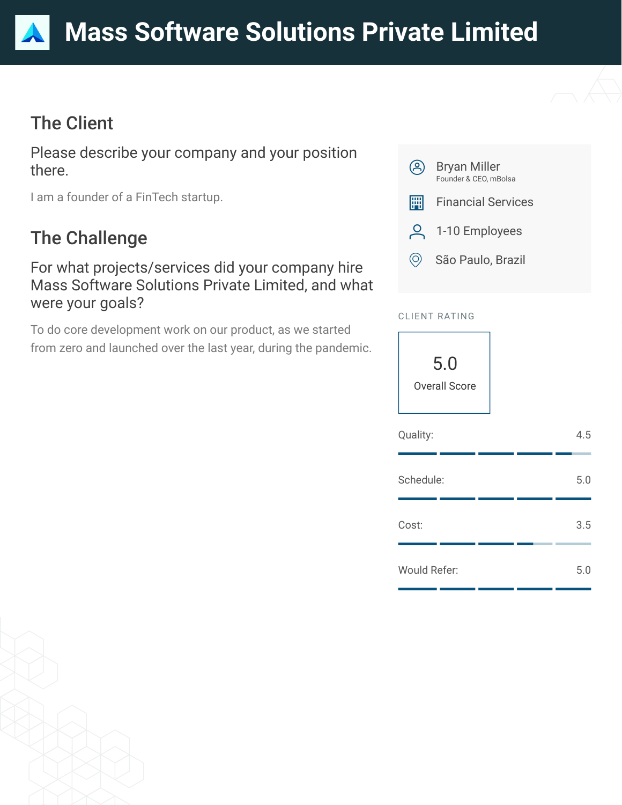# The Client

Please describe your company and your position there.

I am a founder of a FinTech startup.

# The Challenge

### For what projects/services did your company hire Mass Software Solutions Private Limited, and what were your goals?

To do core development work on our product, as we started from zero and launched over the last year, during the pandemic.



### CLIENT RATING

5.0 Overall Score

| Quality:            |  | 4.5 |
|---------------------|--|-----|
| Schedule:           |  | 5.0 |
| Cost:               |  | 3.5 |
| <b>Would Refer:</b> |  | 5.0 |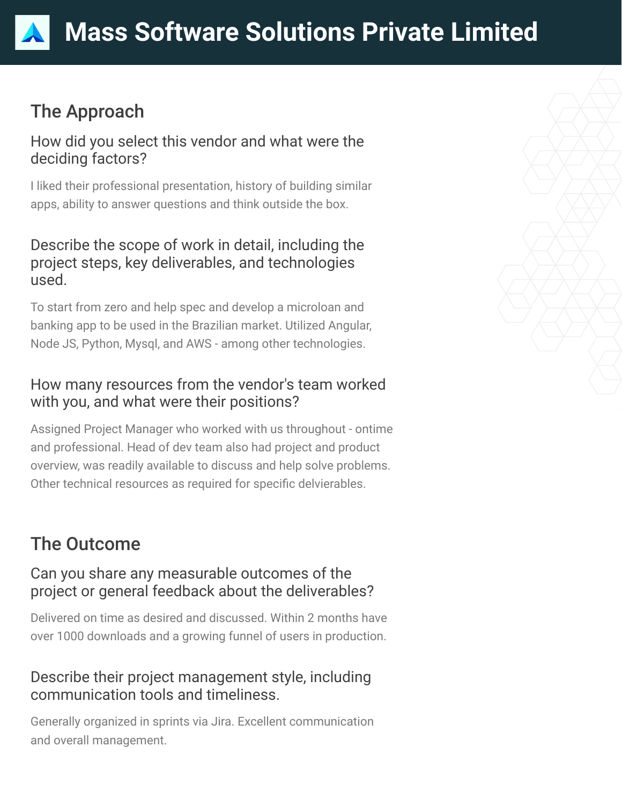# The Approach

### How did you select this vendor and what were the deciding factors?

I liked their professional presentation, history of building similar apps, ability to answer questions and think outside the box.

### Describe the scope of work in detail, including the project steps, key deliverables, and technologies used.

To start from zero and help spec and develop a microloan and banking app to be used in the Brazilian market. Utilized Angular, Node JS, Python, Mysql, and AWS - among other technologies.

### How many resources from the vendor's team worked with you, and what were their positions?

Assigned Project Manager who worked with us throughout - ontime and professional. Head of dev team also had project and product overview, was readily available to discuss and help solve problems. Other technical resources as required for specific delvierables.

# The Outcome

### Can you share any measurable outcomes of the project or general feedback about the deliverables?

Delivered on time as desired and discussed. Within 2 months have over 1000 downloads and a growing funnel of users in production.

### Describe their project management style, including communication tools and timeliness.

Generally organized in sprints via Jira. Excellent communication and overall management.